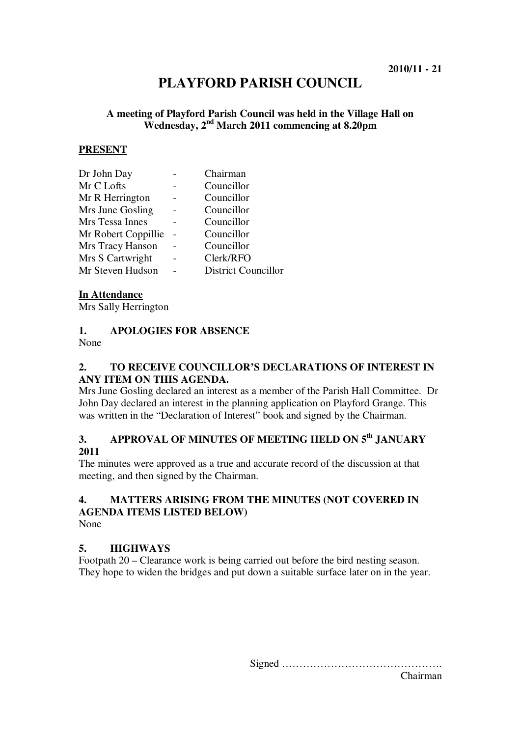# **PLAYFORD PARISH COUNCIL**

#### **A meeting of Playford Parish Council was held in the Village Hall on Wednesday, 2nd March 2011 commencing at 8.20pm**

#### **PRESENT**

| Chairman                   |
|----------------------------|
| Councillor                 |
| Councillor                 |
| Councillor                 |
| Councillor                 |
| Councillor                 |
| Councillor                 |
| Clerk/RFO                  |
| <b>District Councillor</b> |
|                            |

#### **In Attendance**

Mrs Sally Herrington

#### **1. APOLOGIES FOR ABSENCE**

None

#### **2. TO RECEIVE COUNCILLOR'S DECLARATIONS OF INTEREST IN ANY ITEM ON THIS AGENDA.**

Mrs June Gosling declared an interest as a member of the Parish Hall Committee. Dr John Day declared an interest in the planning application on Playford Grange. This was written in the "Declaration of Interest" book and signed by the Chairman.

### **3. APPROVAL OF MINUTES OF MEETING HELD ON 5th JANUARY 2011**

The minutes were approved as a true and accurate record of the discussion at that meeting, and then signed by the Chairman.

## **4. MATTERS ARISING FROM THE MINUTES (NOT COVERED IN AGENDA ITEMS LISTED BELOW)**

None

#### **5. HIGHWAYS**

Footpath 20 – Clearance work is being carried out before the bird nesting season. They hope to widen the bridges and put down a suitable surface later on in the year.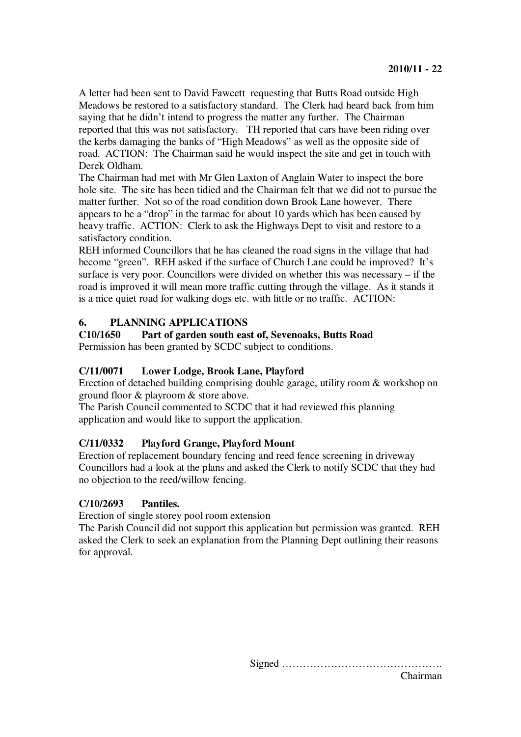A letter had been sent to David Fawcett requesting that Butts Road outside High Meadows be restored to a satisfactory standard. The Clerk had heard back from him saying that he didn't intend to progress the matter any further. The Chairman reported that this was not satisfactory. TH reported that cars have been riding over the kerbs damaging the banks of "High Meadows" as well as the opposite side of road. ACTION: The Chairman said he would inspect the site and get in touch with Derek Oldham.

The Chairman had met with Mr Glen Laxton of Anglain Water to inspect the bore hole site. The site has been tidied and the Chairman felt that we did not to pursue the matter further. Not so of the road condition down Brook Lane however. There appears to be a "drop" in the tarmac for about 10 yards which has been caused by heavy traffic. ACTION: Clerk to ask the Highways Dept to visit and restore to a satisfactory condition.

REH informed Councillors that he has cleaned the road signs in the village that had become "green". REH asked if the surface of Church Lane could be improved? It's surface is very poor. Councillors were divided on whether this was necessary – if the road is improved it will mean more traffic cutting through the village. As it stands it is a nice quiet road for walking dogs etc. with little or no traffic. ACTION:

#### **6. PLANNING APPLICATIONS**

**C10/1650 Part of garden south east of, Sevenoaks, Butts Road**

Permission has been granted by SCDC subject to conditions.

#### **C/11/0071 Lower Lodge, Brook Lane, Playford**

Erection of detached building comprising double garage, utility room & workshop on ground floor & playroom & store above.

The Parish Council commented to SCDC that it had reviewed this planning application and would like to support the application.

#### **C/11/0332 Playford Grange, Playford Mount**

Erection of replacement boundary fencing and reed fence screening in driveway Councillors had a look at the plans and asked the Clerk to notify SCDC that they had no objection to the reed/willow fencing.

#### **C/10/2693 Pantiles.**

Erection of single storey pool room extension

The Parish Council did not support this application but permission was granted. REH asked the Clerk to seek an explanation from the Planning Dept outlining their reasons for approval.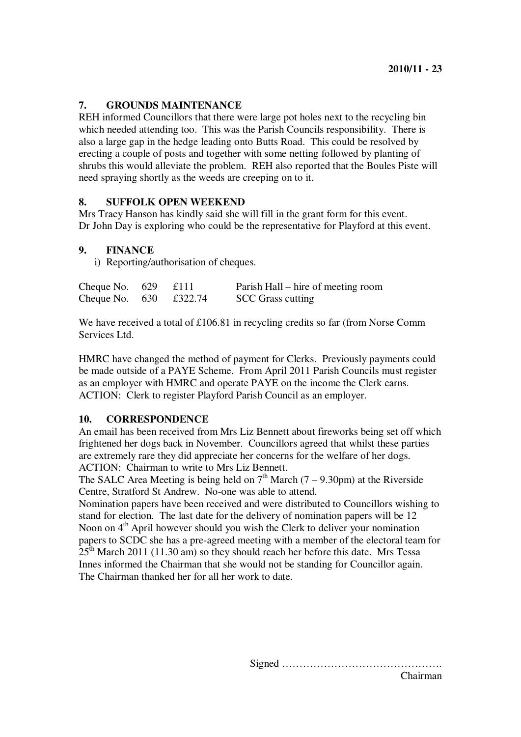#### **7. GROUNDS MAINTENANCE**

REH informed Councillors that there were large pot holes next to the recycling bin which needed attending too. This was the Parish Councils responsibility. There is also a large gap in the hedge leading onto Butts Road. This could be resolved by erecting a couple of posts and together with some netting followed by planting of shrubs this would alleviate the problem. REH also reported that the Boules Piste will need spraying shortly as the weeds are creeping on to it.

#### **8. SUFFOLK OPEN WEEKEND**

Mrs Tracy Hanson has kindly said she will fill in the grant form for this event. Dr John Day is exploring who could be the representative for Playford at this event.

#### **9. FINANCE**

i) Reporting/authorisation of cheques.

| Cheque No. $629$ £111          |  | Parish Hall – hire of meeting room |
|--------------------------------|--|------------------------------------|
| Cheque No. $630 \quad £322.74$ |  | <b>SCC</b> Grass cutting           |

We have received a total of £106.81 in recycling credits so far (from Norse Comm Services Ltd.

HMRC have changed the method of payment for Clerks. Previously payments could be made outside of a PAYE Scheme. From April 2011 Parish Councils must register as an employer with HMRC and operate PAYE on the income the Clerk earns. ACTION: Clerk to register Playford Parish Council as an employer.

#### **10. CORRESPONDENCE**

An email has been received from Mrs Liz Bennett about fireworks being set off which frightened her dogs back in November. Councillors agreed that whilst these parties are extremely rare they did appreciate her concerns for the welfare of her dogs. ACTION: Chairman to write to Mrs Liz Bennett.

The SALC Area Meeting is being held on  $7<sup>th</sup>$  March (7 – 9.30pm) at the Riverside Centre, Stratford St Andrew. No-one was able to attend.

Nomination papers have been received and were distributed to Councillors wishing to stand for election. The last date for the delivery of nomination papers will be 12 Noon on 4<sup>th</sup> April however should you wish the Clerk to deliver your nomination papers to SCDC she has a pre-agreed meeting with a member of the electoral team for  $25<sup>th</sup>$  March 2011 (11.30 am) so they should reach her before this date. Mrs Tessa Innes informed the Chairman that she would not be standing for Councillor again. The Chairman thanked her for all her work to date.